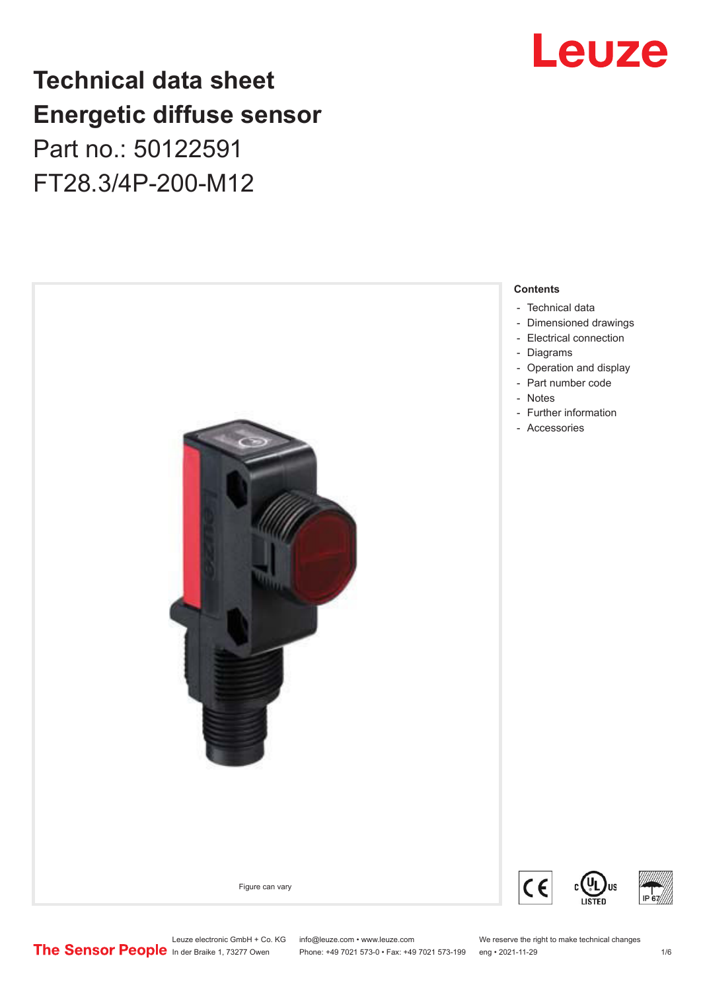# Leuze

## **Technical data sheet Energetic diffuse sensor**

Part no.: 50122591 FT28.3/4P-200-M12



Leuze electronic GmbH + Co. KG info@leuze.com • www.leuze.com We reserve the right to make technical changes<br> **The Sensor People** in der Braike 1, 73277 Owen Phone: +49 7021 573-0 • Fax: +49 7021 573-199 eng • 2021-11-29

Phone: +49 7021 573-0 • Fax: +49 7021 573-199 eng • 2021-11-29 1 metal is the match of the match of the match o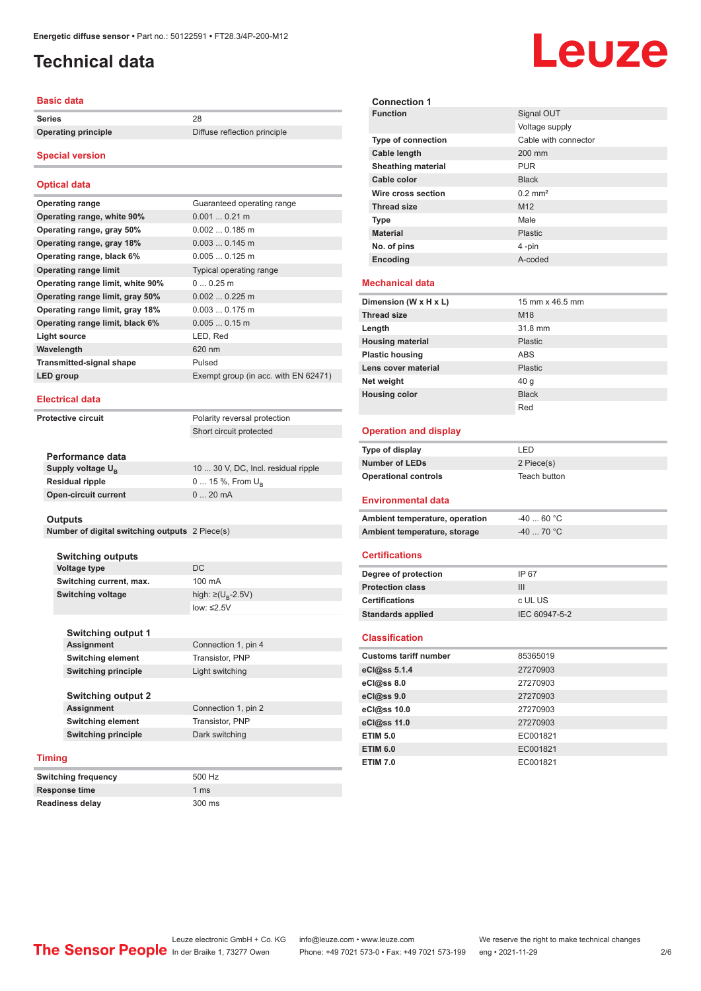### <span id="page-1-0"></span>**Technical data**

#### **Basic data**

**Series** 28

**Operating principle** Diffuse reflection principle

#### **Special version**

#### **Optical data**

| <b>Operating range</b>           | Guaranteed operating range           |
|----------------------------------|--------------------------------------|
| Operating range, white 90%       | $0.0010.21$ m                        |
| Operating range, gray 50%        | $0.0020.185$ m                       |
| Operating range, gray 18%        | $0.0030.145$ m                       |
| Operating range, black 6%        | $0.0050.125$ m                       |
| <b>Operating range limit</b>     | Typical operating range              |
| Operating range limit, white 90% | $00.25$ m                            |
| Operating range limit, gray 50%  | $0.0020.225$ m                       |
| Operating range limit, gray 18%  | $0.0030.175$ m                       |
| Operating range limit, black 6%  | $0.0050.15$ m                        |
| Light source                     | LED, Red                             |
| Wavelength                       | 620 nm                               |
| <b>Transmitted-signal shape</b>  | Pulsed                               |
| LED group                        | Exempt group (in acc. with EN 62471) |

#### **Electrical data**

**Protective circuit** 

| Polarity reversal protection |
|------------------------------|
| Short circuit protected      |
|                              |

| Performance data              |                                     |
|-------------------------------|-------------------------------------|
| Supply voltage U <sub>p</sub> | 10  30 V, DC, Incl. residual ripple |
| <b>Residual ripple</b>        | $0 15 \%$ , From $U_{p}$            |
| Open-circuit current          | $020$ mA                            |
|                               |                                     |

#### **Outputs**

**Number of digital switching outputs** 2 Piece(s)

**Switching outputs Voltage type** DC **Switching current, max.** 100 mA **Switching voltage** 

high:  $\geq$ (U<sub>p</sub>-2.5V) low: ≤2.5V

| <b>Switching output 1</b>  |                     |
|----------------------------|---------------------|
| <b>Assignment</b>          | Connection 1, pin 4 |
| <b>Switching element</b>   | Transistor, PNP     |
| <b>Switching principle</b> | Light switching     |
|                            |                     |
| <b>Switching output 2</b>  |                     |
| <b>Assignment</b>          | Connection 1, pin 2 |
|                            |                     |

**Switching element** Transistor, PNP **Switching principle** Dark switching

#### **Timing**

| <b>Switching frequency</b> | 500 Hz         |
|----------------------------|----------------|
| <b>Response time</b>       | $1 \text{ ms}$ |
| <b>Readiness delay</b>     | 300 ms         |

| <b>Connection 1</b>                              |                       |
|--------------------------------------------------|-----------------------|
| <b>Function</b>                                  | Signal OUT            |
|                                                  | Voltage supply        |
| Type of connection                               | Cable with connector  |
| Cable length                                     | 200 mm                |
| <b>Sheathing material</b>                        | <b>PUR</b>            |
| Cable color                                      | <b>Black</b>          |
| Wire cross section                               | $0.2$ mm <sup>2</sup> |
| <b>Thread size</b>                               | M12                   |
| Type                                             | Male                  |
| <b>Material</b>                                  | Plastic               |
| No. of pins                                      | 4-pin                 |
| Encoding                                         | A-coded               |
|                                                  |                       |
| <b>Mechanical data</b>                           |                       |
| Dimension (W x H x L)                            | 15 mm x 46.5 mm       |
| <b>Thread size</b>                               | M18                   |
| Length                                           | 31.8 mm               |
| <b>Housing material</b>                          | Plastic               |
| <b>Plastic housing</b>                           | <b>ABS</b>            |
| Lens cover material                              | <b>Plastic</b>        |
| Net weight                                       | 40 g                  |
| <b>Housing color</b>                             | <b>Black</b>          |
|                                                  | Red                   |
| <b>Operation and display</b>                     |                       |
|                                                  |                       |
| <b>Type of display</b>                           | LED                   |
| <b>Number of LEDs</b>                            | 2 Piece(s)            |
| <b>Operational controls</b>                      | Teach button          |
| <b>Environmental data</b>                        |                       |
|                                                  |                       |
|                                                  |                       |
| Ambient temperature, operation                   | $-4060 °C$            |
| Ambient temperature, storage                     | -40  70 °C            |
| <b>Certifications</b>                            |                       |
|                                                  |                       |
| Degree of protection                             | IP 67<br>III          |
| <b>Protection class</b><br><b>Certifications</b> |                       |
|                                                  | c UL US               |
| <b>Standards applied</b>                         | IEC 60947-5-2         |
| <b>Classification</b>                            |                       |
| <b>Customs tariff number</b>                     | 85365019              |
| eCl@ss 5.1.4                                     | 27270903              |
| eCl@ss 8.0                                       | 27270903              |
| eCl@ss 9.0                                       | 27270903              |
| eCl@ss 10.0                                      | 27270903              |
| eCl@ss 11.0                                      | 27270903              |
| <b>ETIM 5.0</b>                                  | EC001821              |
| <b>ETIM 6.0</b>                                  | EC001821              |

## Leuze

Leuze electronic GmbH + Co. KG info@leuze.com • www.leuze.com We reserve the right to make technical changes<br>
The Sensor People in der Braike 1, 73277 Owen Phone: +49 7021 573-0 • Fax: +49 7021 573-199 eng • 2021-11-29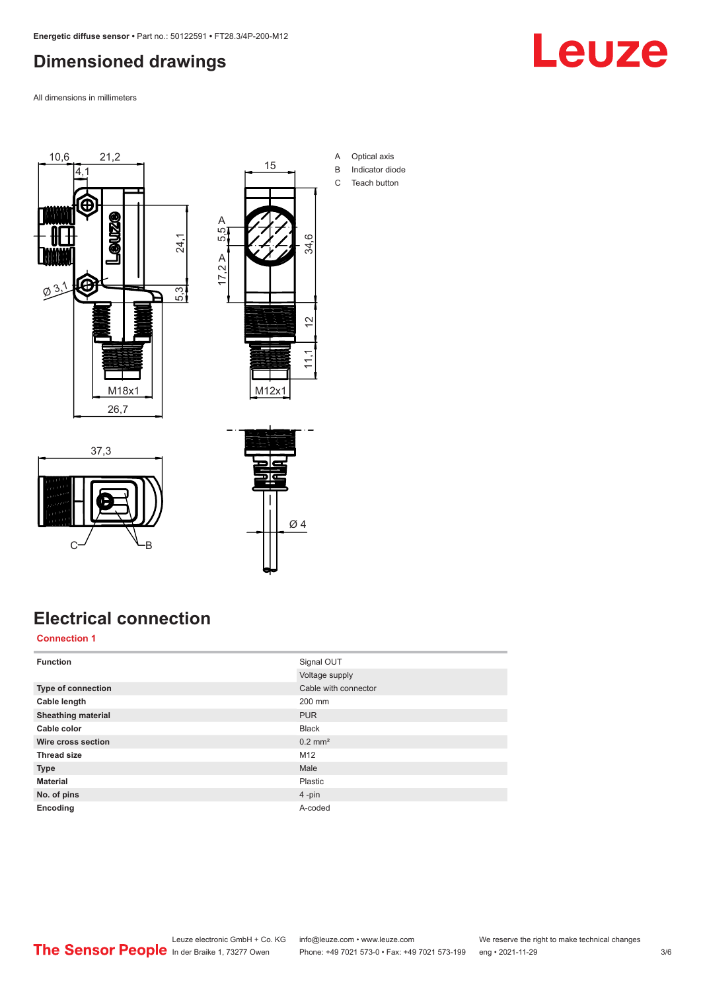### <span id="page-2-0"></span>**Dimensioned drawings**

All dimensions in millimeters





- A Optical axis B Indicator diode
- C Teach button

**Electrical connection**

 $C \rightarrow C$ 

37,3

#### **Connection 1**

| <b>Function</b>           | Signal OUT            |
|---------------------------|-----------------------|
|                           | Voltage supply        |
| Type of connection        | Cable with connector  |
| Cable length              | 200 mm                |
| <b>Sheathing material</b> | <b>PUR</b>            |
| Cable color               | <b>Black</b>          |
| Wire cross section        | $0.2$ mm <sup>2</sup> |
| <b>Thread size</b>        | M12                   |
| <b>Type</b>               | Male                  |
| <b>Material</b>           | Plastic               |
| No. of pins               | $4 - pin$             |
| Encoding                  | A-coded               |

Ø 4

Leuze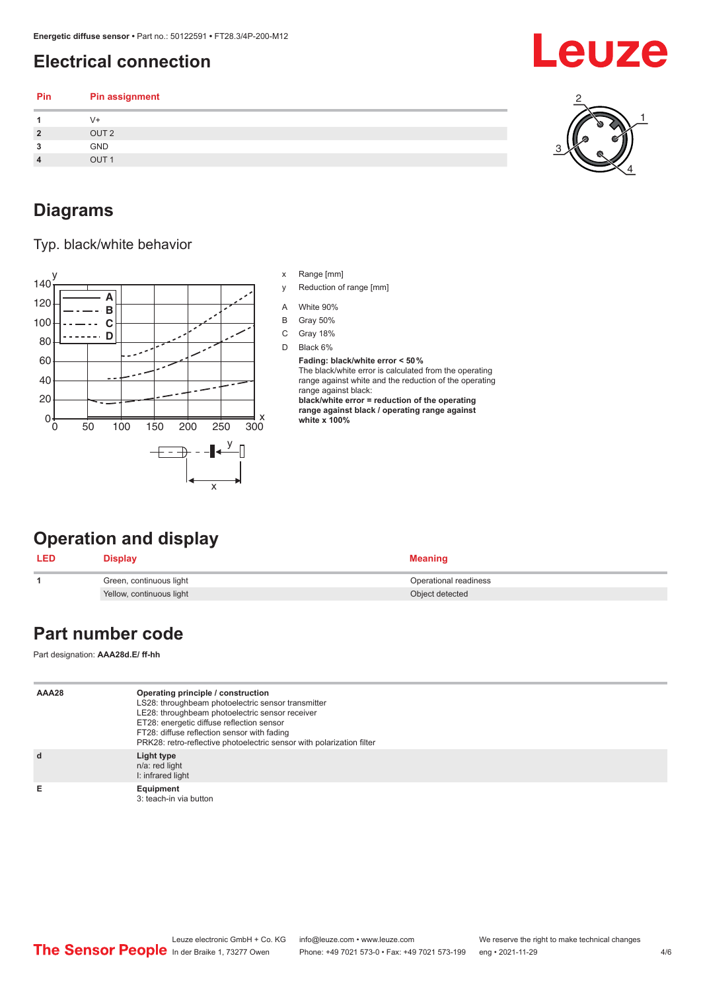### <span id="page-3-0"></span>**Electrical connection**

| Pin | Pin assignment   |  |
|-----|------------------|--|
|     | V+               |  |
| ີ   | OUT <sub>2</sub> |  |
| 3   | GND              |  |
|     | OUT <sub>1</sub> |  |
|     |                  |  |

#### **Diagrams**

Typ. black/white behavior



- x Range [mm]
- y Reduction of range [mm]
- A White 90%
- B Gray 50%
- C Gray 18%
- D Black 6%

**Fading: black/white error < 50 %** The black/white error is calculated from the operating range against white and the reduction of the operating range against black: **black/white error = reduction of the operating range against black / operating range against white x 100%**

## **Operation and display**

| <b>LED</b> | Display                  | <b>Meaning</b>        |
|------------|--------------------------|-----------------------|
|            | Green, continuous light  | Operational readiness |
|            | Yellow, continuous light | Object detected       |

#### **Part number code**

Part designation: **AAA28d.E/ ff-hh**

| AAA28 | Operating principle / construction<br>LS28: throughbeam photoelectric sensor transmitter<br>LE28: throughbeam photoelectric sensor receiver<br>ET28: energetic diffuse reflection sensor<br>FT28: diffuse reflection sensor with fading<br>PRK28: retro-reflective photoelectric sensor with polarization filter |
|-------|------------------------------------------------------------------------------------------------------------------------------------------------------------------------------------------------------------------------------------------------------------------------------------------------------------------|
| d     | Light type<br>n/a: red light<br>I: infrared light                                                                                                                                                                                                                                                                |
| Е     | Equipment<br>3: teach-in via button                                                                                                                                                                                                                                                                              |



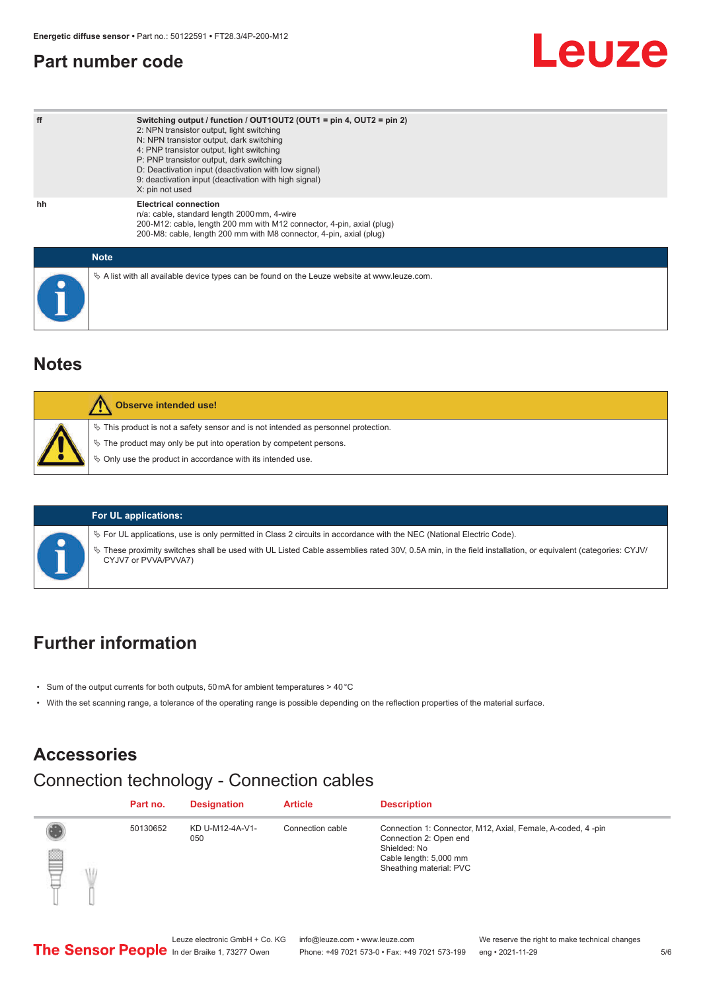#### <span id="page-4-0"></span>**Part number code**

| ff          | Switching output / function / $OUT1OUT2$ (OUT1 = pin 4, OUT2 = pin 2)<br>2: NPN transistor output, light switching<br>N: NPN transistor output, dark switching<br>4: PNP transistor output, light switching<br>P: PNP transistor output, dark switching<br>D: Deactivation input (deactivation with low signal)<br>9: deactivation input (deactivation with high signal)<br>X: pin not used |
|-------------|---------------------------------------------------------------------------------------------------------------------------------------------------------------------------------------------------------------------------------------------------------------------------------------------------------------------------------------------------------------------------------------------|
| hh          | <b>Electrical connection</b><br>n/a: cable, standard length 2000 mm, 4-wire<br>200-M12: cable, length 200 mm with M12 connector, 4-pin, axial (plug)<br>200-M8: cable, length 200 mm with M8 connector, 4-pin, axial (plug)                                                                                                                                                                 |
| <b>Note</b> |                                                                                                                                                                                                                                                                                                                                                                                             |
|             | $\&$ A list with all available device types can be found on the Leuze website at www.leuze.com.                                                                                                                                                                                                                                                                                             |

#### **Notes**

| Observe intended use!                                                                                                                                                                                                         |
|-------------------------------------------------------------------------------------------------------------------------------------------------------------------------------------------------------------------------------|
| $\%$ This product is not a safety sensor and is not intended as personnel protection.<br>$\&$ The product may only be put into operation by competent persons.<br>♦ Only use the product in accordance with its intended use. |
|                                                                                                                                                                                                                               |

| For UL applications:         |
|------------------------------|
| ₿ For UL applications, use i |
| ₿ These proximity switches   |

is only permitted in Class 2 circuits in accordance with the NEC (National Electric Code).

shall be used with UL Listed Cable assemblies rated 30V, 0.5A min, in the field installation, or equivalent (categories: CYJV/ CYJV7 or PVVA/PVVA7)

## **Further information**

- Sum of the output currents for both outputs, 50 mA for ambient temperatures > 40 °C
- With the set scanning range, a tolerance of the operating range is possible depending on the reflection properties of the material surface.

#### **Accessories**

## Connection technology - Connection cables

|   | Part no. | <b>Designation</b>     | <b>Article</b>   | <b>Description</b>                                                                                                                                         |
|---|----------|------------------------|------------------|------------------------------------------------------------------------------------------------------------------------------------------------------------|
| ē | 50130652 | KD U-M12-4A-V1-<br>050 | Connection cable | Connection 1: Connector, M12, Axial, Female, A-coded, 4-pin<br>Connection 2: Open end<br>Shielded: No<br>Cable length: 5,000 mm<br>Sheathing material: PVC |

Leuze